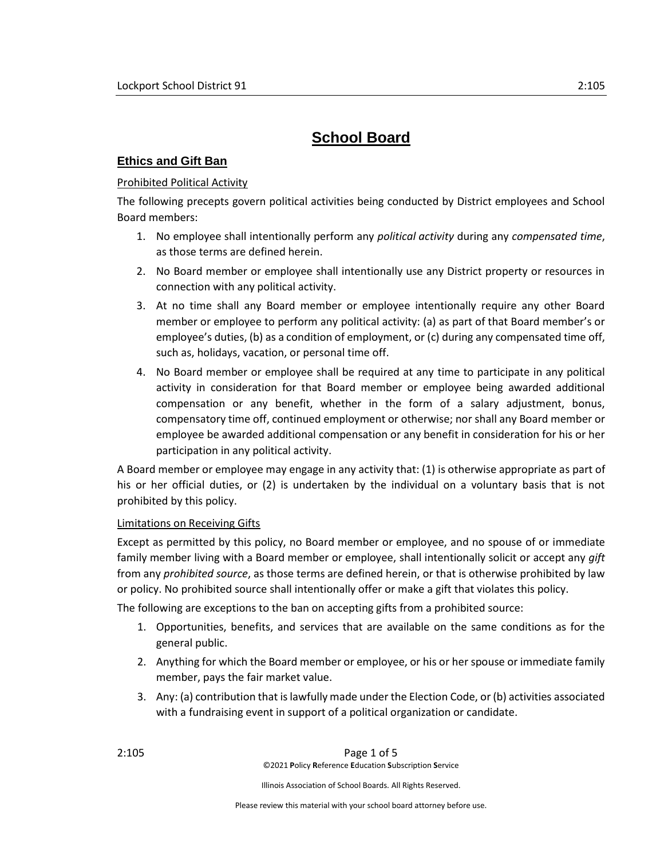# **School Board**

# **Ethics and Gift Ban**

# **Prohibited Political Activity**

The following precepts govern political activities being conducted by District employees and School Board members:

- 1. No employee shall intentionally perform any *political activity* during any *compensated time*, as those terms are defined herein.
- 2. No Board member or employee shall intentionally use any District property or resources in connection with any political activity.
- 3. At no time shall any Board member or employee intentionally require any other Board member or employee to perform any political activity: (a) as part of that Board member's or employee's duties, (b) as a condition of employment, or (c) during any compensated time off, such as, holidays, vacation, or personal time off.
- 4. No Board member or employee shall be required at any time to participate in any political activity in consideration for that Board member or employee being awarded additional compensation or any benefit, whether in the form of a salary adjustment, bonus, compensatory time off, continued employment or otherwise; nor shall any Board member or employee be awarded additional compensation or any benefit in consideration for his or her participation in any political activity.

A Board member or employee may engage in any activity that: (1) is otherwise appropriate as part of his or her official duties, or (2) is undertaken by the individual on a voluntary basis that is not prohibited by this policy.

#### Limitations on Receiving Gifts

Except as permitted by this policy, no Board member or employee, and no spouse of or immediate family member living with a Board member or employee, shall intentionally solicit or accept any *gift* from any *prohibited source*, as those terms are defined herein, or that is otherwise prohibited by law or policy. No prohibited source shall intentionally offer or make a gift that violates this policy.

The following are exceptions to the ban on accepting gifts from a prohibited source:

- 1. Opportunities, benefits, and services that are available on the same conditions as for the general public.
- 2. Anything for which the Board member or employee, or his or her spouse or immediate family member, pays the fair market value.
- 3. Any: (a) contribution that is lawfully made under the Election Code, or (b) activities associated with a fundraising event in support of a political organization or candidate.

Illinois Association of School Boards. All Rights Reserved.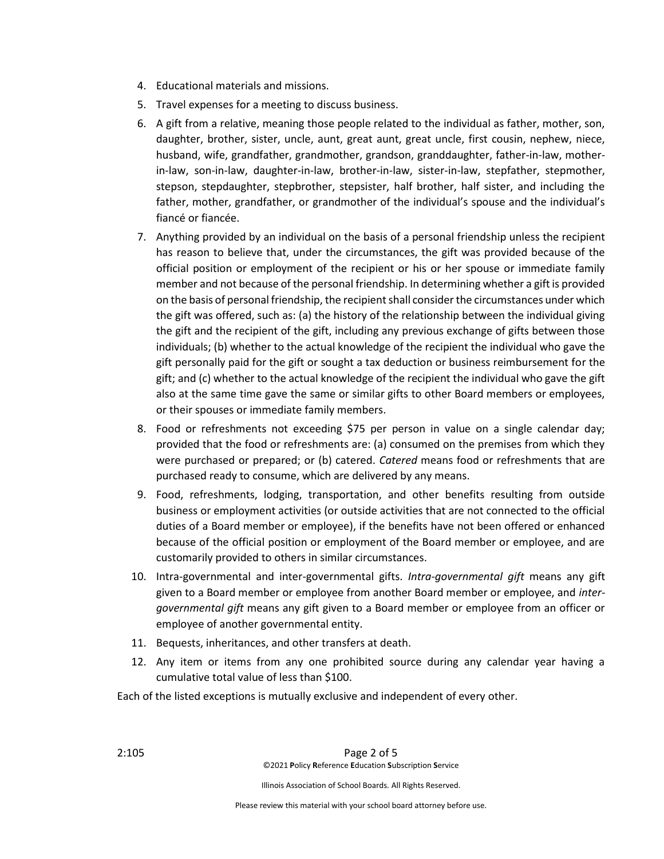- 4. Educational materials and missions.
- 5. Travel expenses for a meeting to discuss business.
- 6. A gift from a relative, meaning those people related to the individual as father, mother, son, daughter, brother, sister, uncle, aunt, great aunt, great uncle, first cousin, nephew, niece, husband, wife, grandfather, grandmother, grandson, granddaughter, father-in-law, motherin-law, son-in-law, daughter-in-law, brother-in-law, sister-in-law, stepfather, stepmother, stepson, stepdaughter, stepbrother, stepsister, half brother, half sister, and including the father, mother, grandfather, or grandmother of the individual's spouse and the individual's fiancé or fiancée.
- 7. Anything provided by an individual on the basis of a personal friendship unless the recipient has reason to believe that, under the circumstances, the gift was provided because of the official position or employment of the recipient or his or her spouse or immediate family member and not because of the personal friendship. In determining whether a gift is provided on the basis of personal friendship, the recipient shall consider the circumstances under which the gift was offered, such as: (a) the history of the relationship between the individual giving the gift and the recipient of the gift, including any previous exchange of gifts between those individuals; (b) whether to the actual knowledge of the recipient the individual who gave the gift personally paid for the gift or sought a tax deduction or business reimbursement for the gift; and (c) whether to the actual knowledge of the recipient the individual who gave the gift also at the same time gave the same or similar gifts to other Board members or employees, or their spouses or immediate family members.
- 8. Food or refreshments not exceeding \$75 per person in value on a single calendar day; provided that the food or refreshments are: (a) consumed on the premises from which they were purchased or prepared; or (b) catered. *Catered* means food or refreshments that are purchased ready to consume, which are delivered by any means.
- 9. Food, refreshments, lodging, transportation, and other benefits resulting from outside business or employment activities (or outside activities that are not connected to the official duties of a Board member or employee), if the benefits have not been offered or enhanced because of the official position or employment of the Board member or employee, and are customarily provided to others in similar circumstances.
- 10. Intra-governmental and inter-governmental gifts. *Intra-governmental gift* means any gift given to a Board member or employee from another Board member or employee, and *intergovernmental gift* means any gift given to a Board member or employee from an officer or employee of another governmental entity.
- 11. Bequests, inheritances, and other transfers at death.
- 12. Any item or items from any one prohibited source during any calendar year having a cumulative total value of less than \$100.

Each of the listed exceptions is mutually exclusive and independent of every other.

Illinois Association of School Boards. All Rights Reserved.

Please review this material with your school board attorney before use.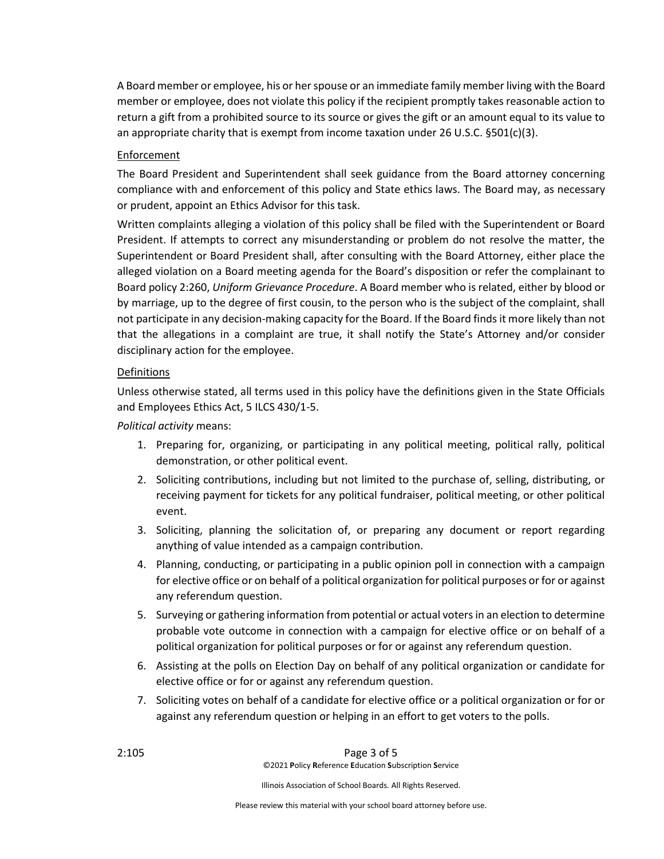A Board member or employee, his or her spouse or an immediate family member living with the Board member or employee, does not violate this policy if the recipient promptly takes reasonable action to return a gift from a prohibited source to its source or gives the gift or an amount equal to its value to an appropriate charity that is exempt from income taxation under 26 U.S.C.  $\S501(c)(3)$ .

# Enforcement

The Board President and Superintendent shall seek guidance from the Board attorney concerning compliance with and enforcement of this policy and State ethics laws. The Board may, as necessary or prudent, appoint an Ethics Advisor for this task.

Written complaints alleging a violation of this policy shall be filed with the Superintendent or Board President. If attempts to correct any misunderstanding or problem do not resolve the matter, the Superintendent or Board President shall, after consulting with the Board Attorney, either place the alleged violation on a Board meeting agenda for the Board's disposition or refer the complainant to Board policy 2:260, *Uniform Grievance Procedure*. A Board member who is related, either by blood or by marriage, up to the degree of first cousin, to the person who is the subject of the complaint, shall not participate in any decision-making capacity for the Board. If the Board finds it more likely than not that the allegations in a complaint are true, it shall notify the State's Attorney and/or consider disciplinary action for the employee.

#### Definitions

Unless otherwise stated, all terms used in this policy have the definitions given in the State Officials and Employees Ethics Act, 5 ILCS 430/1-5.

# *Political activity* means:

- 1. Preparing for, organizing, or participating in any political meeting, political rally, political demonstration, or other political event.
- 2. Soliciting contributions, including but not limited to the purchase of, selling, distributing, or receiving payment for tickets for any political fundraiser, political meeting, or other political event.
- 3. Soliciting, planning the solicitation of, or preparing any document or report regarding anything of value intended as a campaign contribution.
- 4. Planning, conducting, or participating in a public opinion poll in connection with a campaign for elective office or on behalf of a political organization for political purposes or for or against any referendum question.
- 5. Surveying or gathering information from potential or actual voters in an election to determine probable vote outcome in connection with a campaign for elective office or on behalf of a political organization for political purposes or for or against any referendum question.
- 6. Assisting at the polls on Election Day on behalf of any political organization or candidate for elective office or for or against any referendum question.
- 7. Soliciting votes on behalf of a candidate for elective office or a political organization or for or against any referendum question or helping in an effort to get voters to the polls.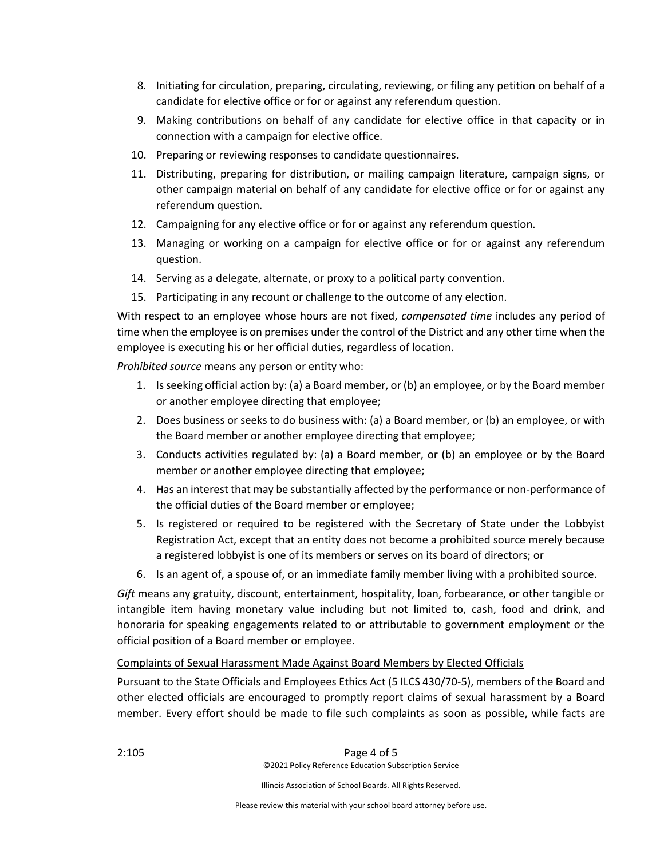- 8. Initiating for circulation, preparing, circulating, reviewing, or filing any petition on behalf of a candidate for elective office or for or against any referendum question.
- 9. Making contributions on behalf of any candidate for elective office in that capacity or in connection with a campaign for elective office.
- 10. Preparing or reviewing responses to candidate questionnaires.
- 11. Distributing, preparing for distribution, or mailing campaign literature, campaign signs, or other campaign material on behalf of any candidate for elective office or for or against any referendum question.
- 12. Campaigning for any elective office or for or against any referendum question.
- 13. Managing or working on a campaign for elective office or for or against any referendum question.
- 14. Serving as a delegate, alternate, or proxy to a political party convention.
- 15. Participating in any recount or challenge to the outcome of any election.

With respect to an employee whose hours are not fixed, *compensated time* includes any period of time when the employee is on premises under the control of the District and any other time when the employee is executing his or her official duties, regardless of location.

*Prohibited source* means any person or entity who:

- 1. Is seeking official action by: (a) a Board member, or (b) an employee, or by the Board member or another employee directing that employee;
- 2. Does business or seeks to do business with: (a) a Board member, or (b) an employee, or with the Board member or another employee directing that employee;
- 3. Conducts activities regulated by: (a) a Board member, or (b) an employee or by the Board member or another employee directing that employee;
- 4. Has an interest that may be substantially affected by the performance or non-performance of the official duties of the Board member or employee;
- 5. Is registered or required to be registered with the Secretary of State under the Lobbyist Registration Act, except that an entity does not become a prohibited source merely because a registered lobbyist is one of its members or serves on its board of directors; or
- 6. Is an agent of, a spouse of, or an immediate family member living with a prohibited source.

*Gift* means any gratuity, discount, entertainment, hospitality, loan, forbearance, or other tangible or intangible item having monetary value including but not limited to, cash, food and drink, and honoraria for speaking engagements related to or attributable to government employment or the official position of a Board member or employee.

#### Complaints of Sexual Harassment Made Against Board Members by Elected Officials

Pursuant to the State Officials and Employees Ethics Act (5 ILCS 430/70-5), members of the Board and other elected officials are encouraged to promptly report claims of sexual harassment by a Board member. Every effort should be made to file such complaints as soon as possible, while facts are

Illinois Association of School Boards. All Rights Reserved.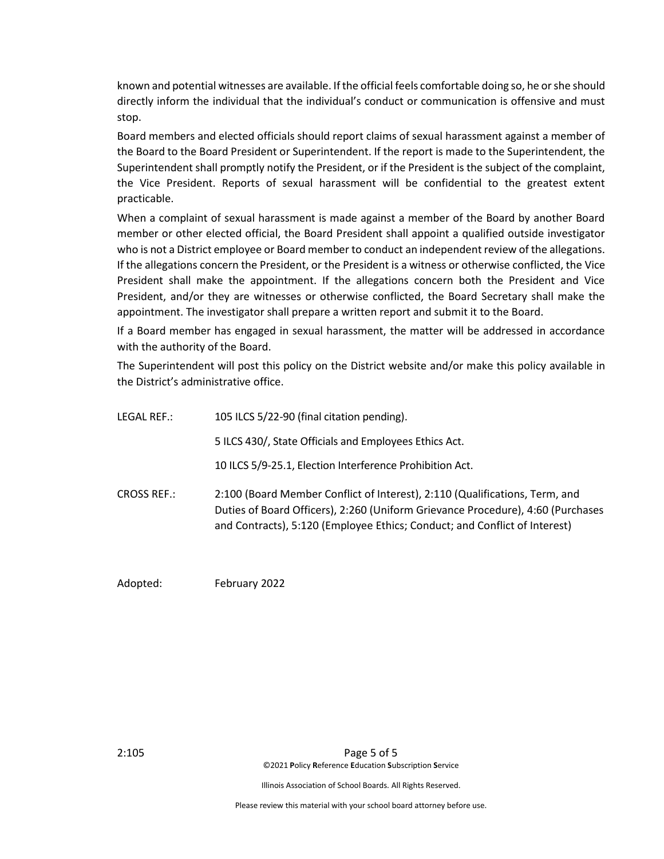known and potential witnesses are available. If the official feels comfortable doing so, he or she should directly inform the individual that the individual's conduct or communication is offensive and must stop.

Board members and elected officials should report claims of sexual harassment against a member of the Board to the Board President or Superintendent. If the report is made to the Superintendent, the Superintendent shall promptly notify the President, or if the President is the subject of the complaint, the Vice President. Reports of sexual harassment will be confidential to the greatest extent practicable.

When a complaint of sexual harassment is made against a member of the Board by another Board member or other elected official, the Board President shall appoint a qualified outside investigator who is not a District employee or Board member to conduct an independent review of the allegations. If the allegations concern the President, or the President is a witness or otherwise conflicted, the Vice President shall make the appointment. If the allegations concern both the President and Vice President, and/or they are witnesses or otherwise conflicted, the Board Secretary shall make the appointment. The investigator shall prepare a written report and submit it to the Board.

If a Board member has engaged in sexual harassment, the matter will be addressed in accordance with the authority of the Board.

The Superintendent will post this policy on the District website and/or make this policy available in the District's administrative office.

| LEGAL REF.:        | 105 ILCS 5/22-90 (final citation pending).                                                                                                                                                                                                   |
|--------------------|----------------------------------------------------------------------------------------------------------------------------------------------------------------------------------------------------------------------------------------------|
|                    | 5 ILCS 430/, State Officials and Employees Ethics Act.                                                                                                                                                                                       |
|                    | 10 ILCS 5/9-25.1, Election Interference Prohibition Act.                                                                                                                                                                                     |
| <b>CROSS REF.:</b> | 2:100 (Board Member Conflict of Interest), 2:110 (Qualifications, Term, and<br>Duties of Board Officers), 2:260 (Uniform Grievance Procedure), 4:60 (Purchases<br>and Contracts), 5:120 (Employee Ethics; Conduct; and Conflict of Interest) |

Adopted: February 2022

2:105 Page 5 of 5 ©2021 **P**olicy **R**eference **E**ducation **S**ubscription **S**ervice

Illinois Association of School Boards. All Rights Reserved.